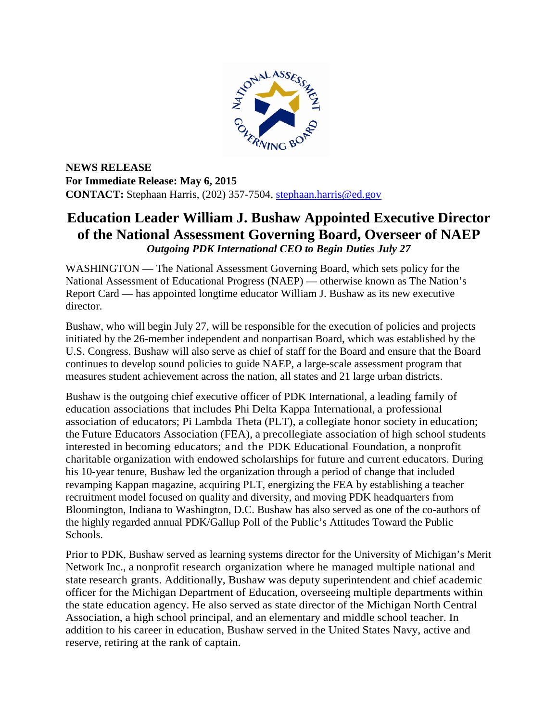

**NEWS RELEASE For Immediate Release: May 6, 2015 CONTACT:** Stephaan Harris, (202) 357-7504, [stephaan.harris@ed.gov](mailto:stephaan.harris@ed.gov)

## **Education Leader William J. Bushaw Appointed Executive Director of the National Assessment Governing Board, Overseer of NAEP** *Outgoing PDK International CEO to Begin Duties July 27*

WASHINGTON — The National Assessment Governing Board, which sets policy for the National Assessment of Educational Progress (NAEP) — otherwise known as The Nation's Report Card — has appointed longtime educator William J. Bushaw as its new executive director.

Bushaw, who will begin July 27, will be responsible for the execution of policies and projects initiated by the 26-member independent and nonpartisan Board, which was established by the U.S. Congress. Bushaw will also serve as chief of staff for the Board and ensure that the Board continues to develop sound policies to guide NAEP, a large-scale assessment program that measures student achievement across the nation, all states and 21 large urban districts.

Bushaw is the outgoing chief executive officer of PDK International, a leading family of education associations that includes Phi Delta Kappa International, a professional association of educators; Pi Lambda Theta (PLT), a collegiate honor society in education; the Future Educators Association (FEA), a precollegiate association of high school students interested in becoming educators; and the PDK Educational Foundation, a nonprofit charitable organization with endowed scholarships for future and current educators. During his 10-year tenure, Bushaw led the organization through a period of change that included revamping Kappan magazine, acquiring PLT, energizing the FEA by establishing a teacher recruitment model focused on quality and diversity, and moving PDK headquarters from Bloomington, Indiana to Washington, D.C. Bushaw has also served as one of the co-authors of the highly regarded annual PDK/Gallup Poll of the Public's Attitudes Toward the Public Schools.

Prior to PDK, Bushaw served as learning systems director for the University of Michigan's Merit Network Inc., a nonprofit research organization where he managed multiple national and state research grants. Additionally, Bushaw was deputy superintendent and chief academic officer for the Michigan Department of Education, overseeing multiple departments within the state education agency. He also served as state director of the Michigan North Central Association, a high school principal, and an elementary and middle school teacher. In addition to his career in education, Bushaw served in the United States Navy, active and reserve, retiring at the rank of captain.